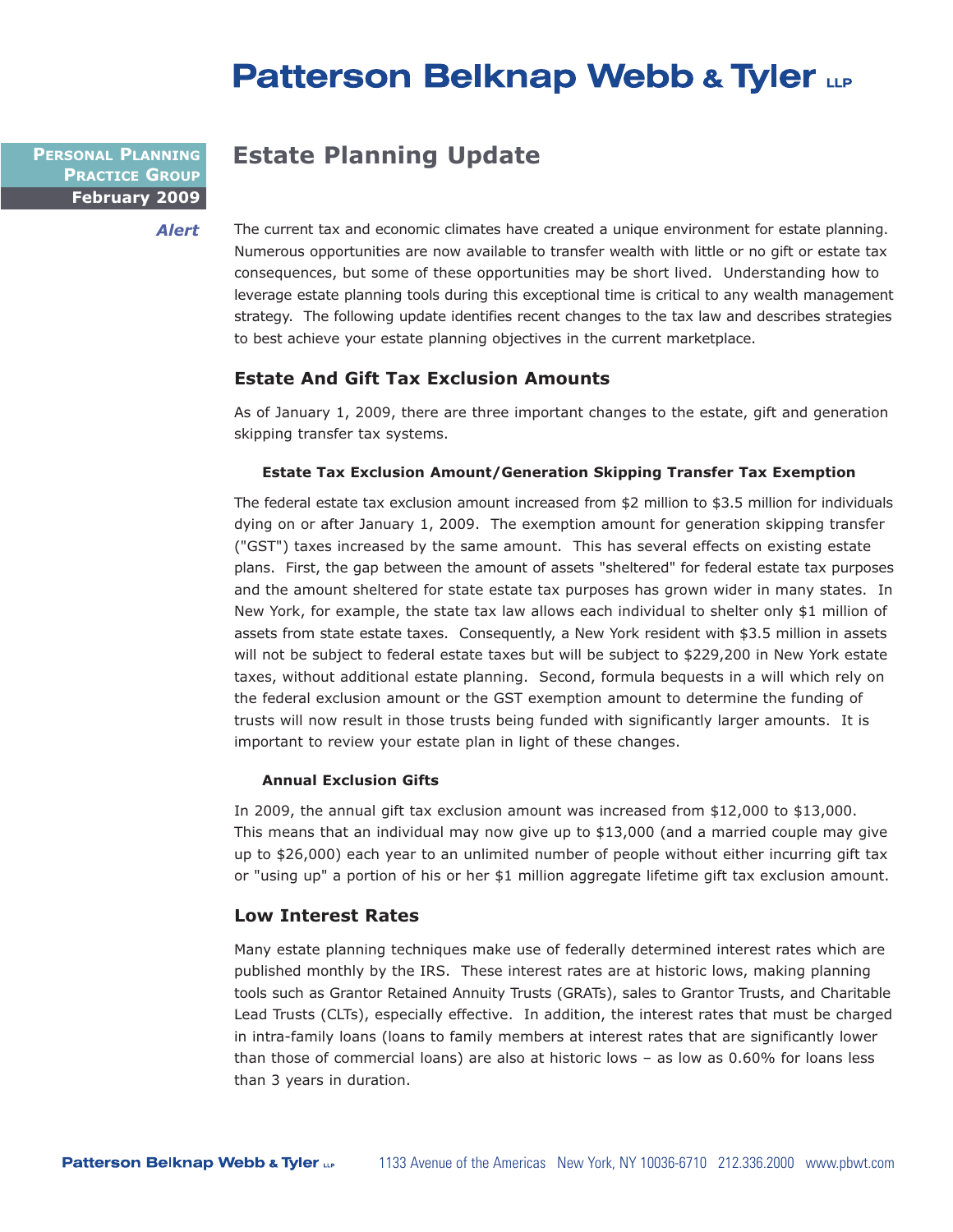# **Patterson Belknap Webb & Tyler LLP**

**February 2009 PERSONAL PLANNING PRACTICE GROUP**

*Alert*

**Estate Planning Update**

The current tax and economic climates have created a unique environment for estate planning. Numerous opportunities are now available to transfer wealth with little or no gift or estate tax consequences, but some of these opportunities may be short lived. Understanding how to leverage estate planning tools during this exceptional time is critical to any wealth management strategy. The following update identifies recent changes to the tax law and describes strategies to best achieve your estate planning objectives in the current marketplace.

## **Estate And Gift Tax Exclusion Amounts**

As of January 1, 2009, there are three important changes to the estate, gift and generation skipping transfer tax systems.

#### **Estate Tax Exclusion Amount/Generation Skipping Transfer Tax Exemption**

The federal estate tax exclusion amount increased from \$2 million to \$3.5 million for individuals dying on or after January 1, 2009. The exemption amount for generation skipping transfer ("GST") taxes increased by the same amount. This has several effects on existing estate plans. First, the gap between the amount of assets "sheltered" for federal estate tax purposes and the amount sheltered for state estate tax purposes has grown wider in many states. In New York, for example, the state tax law allows each individual to shelter only \$1 million of assets from state estate taxes. Consequently, a New York resident with \$3.5 million in assets will not be subject to federal estate taxes but will be subject to \$229,200 in New York estate taxes, without additional estate planning. Second, formula bequests in a will which rely on the federal exclusion amount or the GST exemption amount to determine the funding of trusts will now result in those trusts being funded with significantly larger amounts. It is important to review your estate plan in light of these changes.

#### **Annual Exclusion Gifts**

In 2009, the annual gift tax exclusion amount was increased from \$12,000 to \$13,000. This means that an individual may now give up to \$13,000 (and a married couple may give up to \$26,000) each year to an unlimited number of people without either incurring gift tax or "using up" a portion of his or her \$1 million aggregate lifetime gift tax exclusion amount.

### **Low Interest Rates**

Many estate planning techniques make use of federally determined interest rates which are published monthly by the IRS. These interest rates are at historic lows, making planning tools such as Grantor Retained Annuity Trusts (GRATs), sales to Grantor Trusts, and Charitable Lead Trusts (CLTs), especially effective. In addition, the interest rates that must be charged in intra-family loans (loans to family members at interest rates that are significantly lower than those of commercial loans) are also at historic lows – as low as 0.60% for loans less than 3 years in duration.